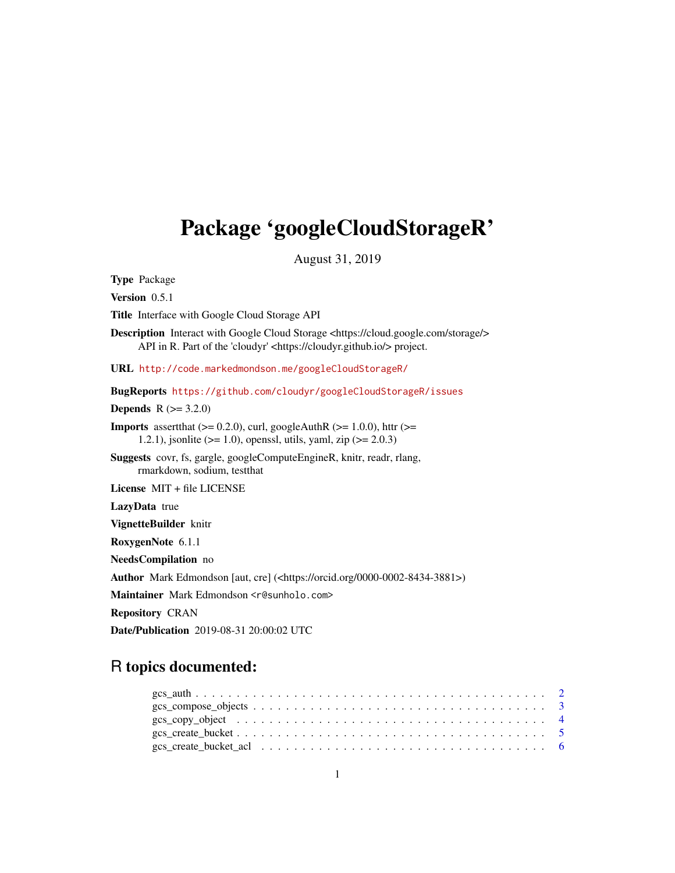# <span id="page-0-0"></span>Package 'googleCloudStorageR'

August 31, 2019

Type Package

Version 0.5.1

Title Interface with Google Cloud Storage API

Description Interact with Google Cloud Storage <https://cloud.google.com/storage/> API in R. Part of the 'cloudyr' <https://cloudyr.github.io/> project.

URL <http://code.markedmondson.me/googleCloudStorageR/>

BugReports <https://github.com/cloudyr/googleCloudStorageR/issues>

**Depends**  $R (= 3.2.0)$ 

**Imports** assert that  $(>= 0.2.0)$ , curl, googleAuthR  $(>= 1.0.0)$ , httr  $(>= 1.0.0)$ 1.2.1), jsonlite ( $> = 1.0$ ), openssl, utils, yaml, zip ( $> = 2.0.3$ )

Suggests covr, fs, gargle, googleComputeEngineR, knitr, readr, rlang, rmarkdown, sodium, testthat

License MIT + file LICENSE

LazyData true

VignetteBuilder knitr

RoxygenNote 6.1.1

NeedsCompilation no

Author Mark Edmondson [aut, cre] (<https://orcid.org/0000-0002-8434-3881>)

Maintainer Mark Edmondson <r@sunholo.com>

Repository CRAN

Date/Publication 2019-08-31 20:00:02 UTC

# R topics documented: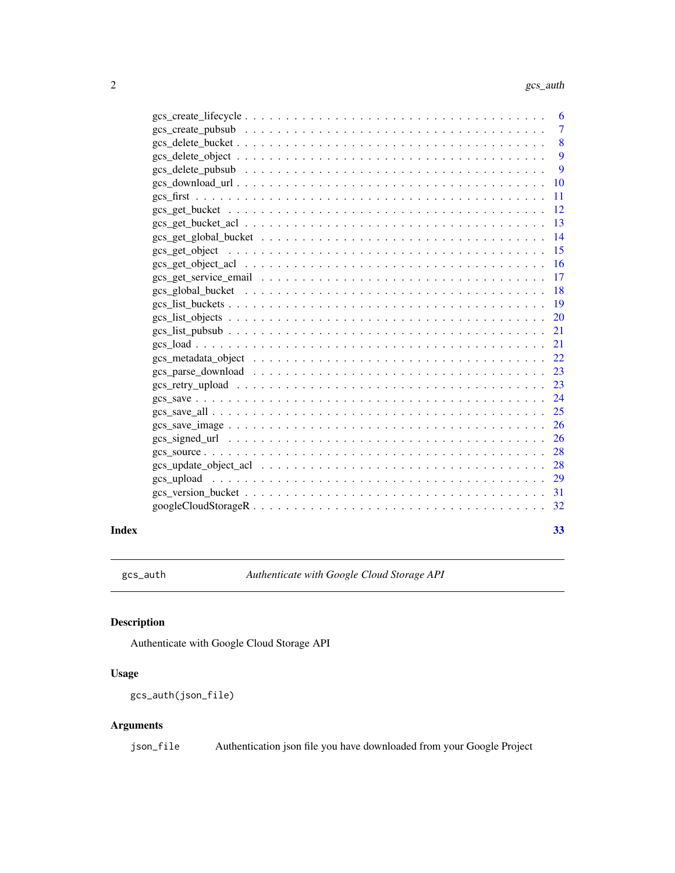<span id="page-1-0"></span>

| 6             |
|---------------|
| 7             |
| 8             |
| 9             |
| 9             |
| 10            |
| 11            |
| 12            |
| 13            |
| 14            |
| 15            |
| 16            |
| 17            |
| 18            |
| 19            |
| 20            |
| 21            |
| 21            |
| 22            |
| 23            |
| 23            |
| 24            |
| 25            |
| 26            |
| 26            |
| 28            |
| 28            |
| <sup>29</sup> |
| -31           |
| 32            |
|               |

## **Index** [33](#page-32-0)

gcs\_auth *Authenticate with Google Cloud Storage API*

# Description

Authenticate with Google Cloud Storage API

# Usage

gcs\_auth(json\_file)

# Arguments

json\_file Authentication json file you have downloaded from your Google Project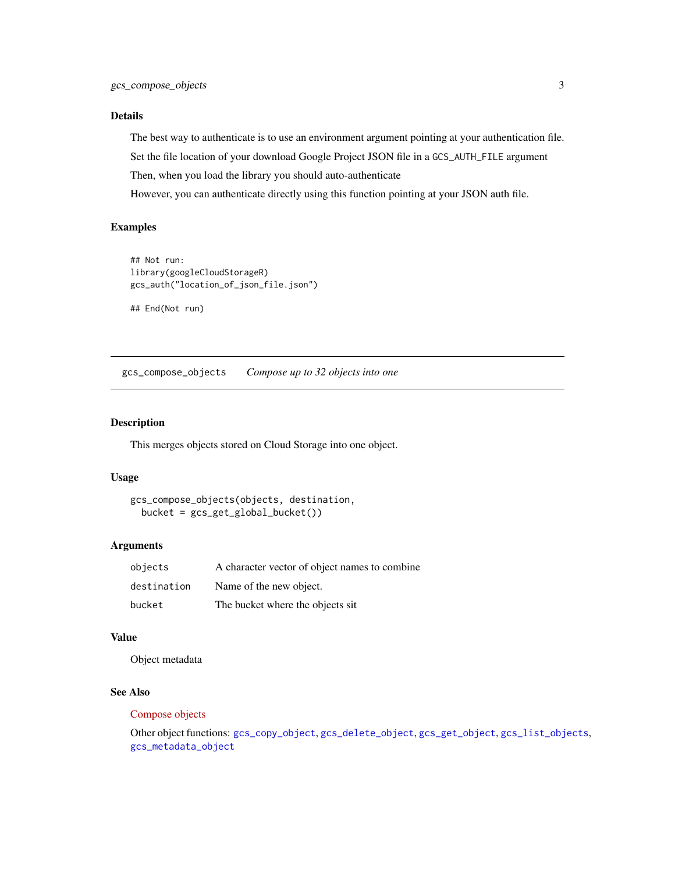## <span id="page-2-0"></span>Details

The best way to authenticate is to use an environment argument pointing at your authentication file. Set the file location of your download Google Project JSON file in a GCS\_AUTH\_FILE argument Then, when you load the library you should auto-authenticate

However, you can authenticate directly using this function pointing at your JSON auth file.

## Examples

```
## Not run:
library(googleCloudStorageR)
gcs_auth("location_of_json_file.json")
```
## End(Not run)

<span id="page-2-1"></span>gcs\_compose\_objects *Compose up to 32 objects into one*

## Description

This merges objects stored on Cloud Storage into one object.

#### Usage

```
gcs_compose_objects(objects, destination,
 bucket = gcs_get_global_bucket())
```
## Arguments

| objects     | A character vector of object names to combine |
|-------------|-----------------------------------------------|
| destination | Name of the new object.                       |
| bucket      | The bucket where the objects sit              |

## Value

Object metadata

#### See Also

#### [Compose objects](https://cloud.google.com/storage/docs/json_api/v1/objects/compose)

Other object functions: [gcs\\_copy\\_object](#page-3-1), [gcs\\_delete\\_object](#page-8-1), [gcs\\_get\\_object](#page-14-1), [gcs\\_list\\_objects](#page-19-1), [gcs\\_metadata\\_object](#page-21-1)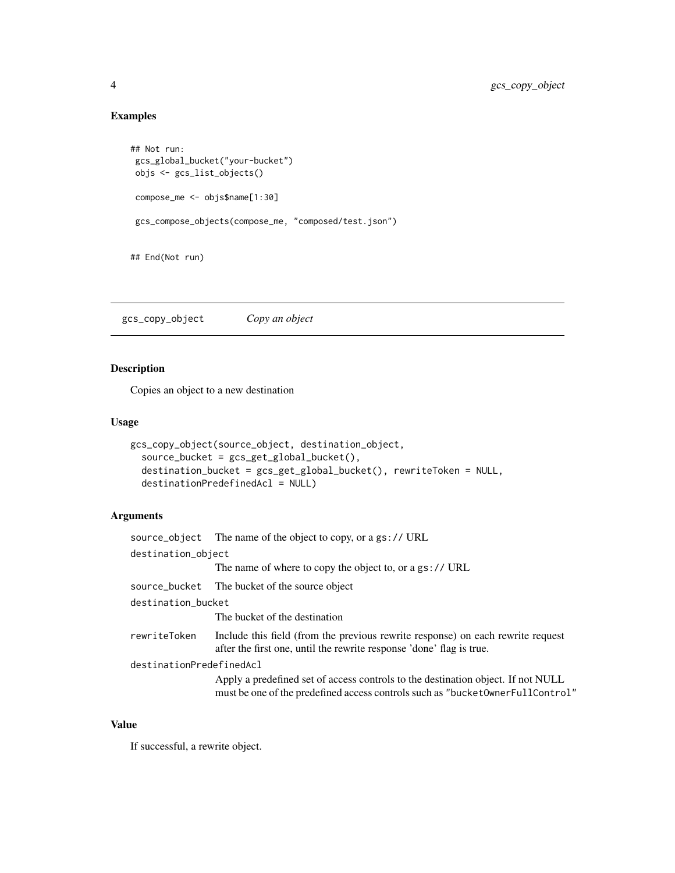# Examples

```
## Not run:
gcs_global_bucket("your-bucket")
objs <- gcs_list_objects()
compose_me <- objs$name[1:30]
gcs_compose_objects(compose_me, "composed/test.json")
## End(Not run)
```
<span id="page-3-1"></span>gcs\_copy\_object *Copy an object*

# Description

Copies an object to a new destination

# Usage

```
gcs_copy_object(source_object, destination_object,
  source_bucket = gcs_get_global_bucket(),
 destination_bucket = gcs_get_global_bucket(), rewriteToken = NULL,
 destinationPredefinedAcl = NULL)
```
## Arguments

|                          | source_object The name of the object to copy, or a gs:// URL                                                                                                       |
|--------------------------|--------------------------------------------------------------------------------------------------------------------------------------------------------------------|
| destination_object       |                                                                                                                                                                    |
|                          | The name of where to copy the object to, or a gs:// URL                                                                                                            |
|                          | source_bucket The bucket of the source object                                                                                                                      |
| destination_bucket       |                                                                                                                                                                    |
|                          | The bucket of the destination                                                                                                                                      |
| rewriteToken             | Include this field (from the previous rewrite response) on each rewrite request<br>after the first one, until the rewrite response 'done' flag is true.            |
| destinationPredefinedAcl |                                                                                                                                                                    |
|                          | Apply a predefined set of access controls to the destination object. If not NULL<br>must be one of the predefined access controls such as "bucket0wnerFullControl" |

## Value

If successful, a rewrite object.

<span id="page-3-0"></span>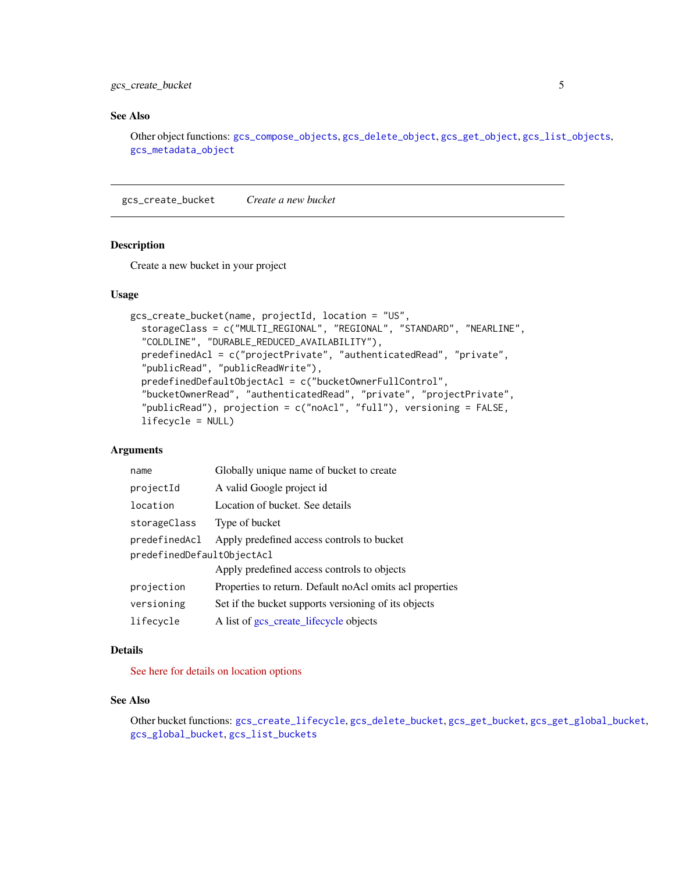# <span id="page-4-0"></span>gcs\_create\_bucket 5

# See Also

Other object functions: [gcs\\_compose\\_objects](#page-2-1), [gcs\\_delete\\_object](#page-8-1), [gcs\\_get\\_object](#page-14-1), [gcs\\_list\\_objects](#page-19-1), [gcs\\_metadata\\_object](#page-21-1)

<span id="page-4-1"></span>gcs\_create\_bucket *Create a new bucket*

## Description

Create a new bucket in your project

## Usage

```
gcs_create_bucket(name, projectId, location = "US",
  storageClass = c("MULTI_REGIONAL", "REGIONAL", "STANDARD", "NEARLINE",
  "COLDLINE", "DURABLE_REDUCED_AVAILABILITY"),
  predefinedAcl = c("projectPrivate", "authenticatedRead", "private",
  "publicRead", "publicReadWrite"),
 predefinedDefaultObjectAcl = c("bucketOwnerFullControl",
  "bucketOwnerRead", "authenticatedRead", "private", "projectPrivate",
 "publicRead"), projection = c("noAcl", "full"), versioning = FALSE,
  lifecycle = NULL)
```
#### Arguments

| name                       | Globally unique name of bucket to create                  |
|----------------------------|-----------------------------------------------------------|
| projectId                  | A valid Google project id                                 |
| location                   | Location of bucket. See details                           |
| storageClass               | Type of bucket                                            |
| predefinedAcl              | Apply predefined access controls to bucket                |
| predefinedDefaultObjectAcl |                                                           |
|                            | Apply predefined access controls to objects               |
| projection                 | Properties to return. Default no Acl omits acl properties |
| versioning                 | Set if the bucket supports versioning of its objects      |
| lifecycle                  | A list of gcs_create_lifecycle objects                    |

## Details

[See here for details on location options](https://cloud.google.com/storage/docs/bucket-locations)

## See Also

Other bucket functions: [gcs\\_create\\_lifecycle](#page-5-1), [gcs\\_delete\\_bucket](#page-7-1), [gcs\\_get\\_bucket](#page-11-1), [gcs\\_get\\_global\\_bucket](#page-13-1), [gcs\\_global\\_bucket](#page-17-1), [gcs\\_list\\_buckets](#page-18-1)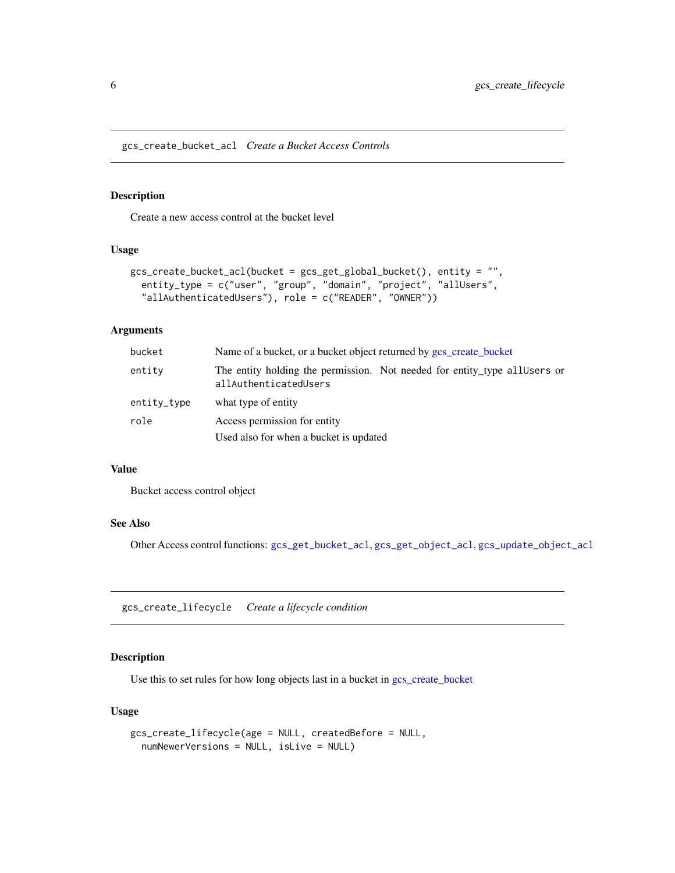<span id="page-5-2"></span><span id="page-5-0"></span>gcs\_create\_bucket\_acl *Create a Bucket Access Controls*

## Description

Create a new access control at the bucket level

#### Usage

```
gcs_create_bucket_acl(bucket = gcs_get_global_bucket(), entity = "",
 entity_type = c("user", "group", "domain", "project", "allUsers",
  "allAuthenticatedUsers"), role = c("READER", "OWNER"))
```
#### Arguments

| bucket      | Name of a bucket, or a bucket object returned by gcs create bucket                                  |
|-------------|-----------------------------------------------------------------------------------------------------|
| entity      | The entity holding the permission. Not needed for entity type all users or<br>allAuthenticatedUsers |
| entity_type | what type of entity                                                                                 |
| role        | Access permission for entity                                                                        |
|             | Used also for when a bucket is updated                                                              |

#### Value

Bucket access control object

# See Also

Other Access control functions: [gcs\\_get\\_bucket\\_acl](#page-12-1), [gcs\\_get\\_object\\_acl](#page-15-1), [gcs\\_update\\_object\\_acl](#page-27-1)

<span id="page-5-1"></span>gcs\_create\_lifecycle *Create a lifecycle condition*

# Description

Use this to set rules for how long objects last in a bucket in [gcs\\_create\\_bucket](#page-4-1)

```
gcs_create_lifecycle(age = NULL, createdBefore = NULL,
 numNewerVersions = NULL, isLive = NULL)
```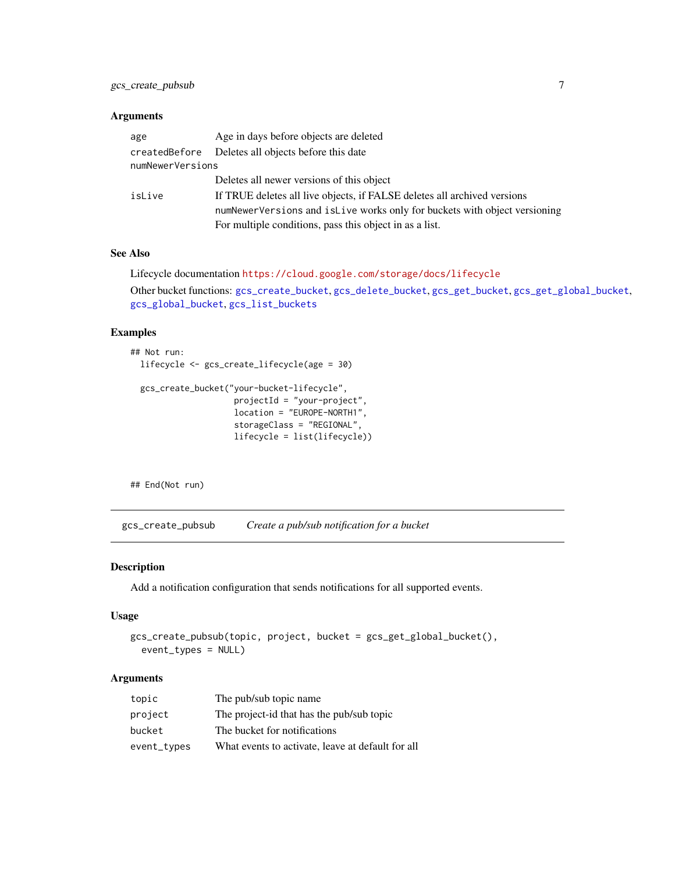<span id="page-6-0"></span>

| age              | Age in days before objects are deleted                                    |
|------------------|---------------------------------------------------------------------------|
|                  | created Before Deletes all objects before this date                       |
| numNewerVersions |                                                                           |
|                  | Deletes all newer versions of this object                                 |
| isLive           | If TRUE deletes all live objects, if FALSE deletes all archived versions  |
|                  | numNewerVersions and islive works only for buckets with object versioning |
|                  | For multiple conditions, pass this object in as a list.                   |

## See Also

```
Lifecycle documentation https://cloud.google.com/storage/docs/lifecycle
Other bucket functions: gcs_create_bucket, gcs_delete_bucket, gcs_get_bucket, gcs_get_global_bucket,
gcs_global_bucket, gcs_list_buckets
```
#### Examples

```
## Not run:
 lifecycle <- gcs_create_lifecycle(age = 30)
 gcs_create_bucket("your-bucket-lifecycle",
                     projectId = "your-project",
                     location = "EUROPE-NORTH1",
                     storageClass = "REGIONAL",
                     lifecycle = list(lifecycle))
```
## End(Not run)

<span id="page-6-1"></span>gcs\_create\_pubsub *Create a pub/sub notification for a bucket*

#### Description

Add a notification configuration that sends notifications for all supported events.

## Usage

```
gcs_create_pubsub(topic, project, bucket = gcs_get_global_bucket(),
  event_types = NULL)
```
# Arguments

| topic       | The pub/sub topic name                            |
|-------------|---------------------------------------------------|
| project     | The project-id that has the pub/sub topic         |
| bucket      | The bucket for notifications                      |
| event_types | What events to activate, leave at default for all |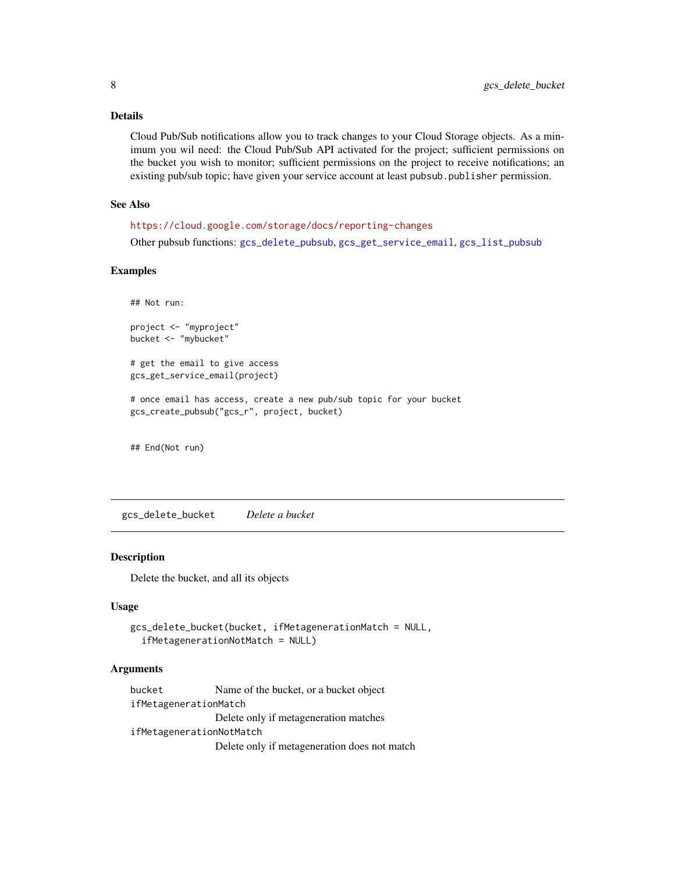## <span id="page-7-0"></span>Details

Cloud Pub/Sub notifications allow you to track changes to your Cloud Storage objects. As a minimum you wil need: the Cloud Pub/Sub API activated for the project; sufficient permissions on the bucket you wish to monitor; sufficient permissions on the project to receive notifications; an existing pub/sub topic; have given your service account at least pubsub.publisher permission.

#### See Also

<https://cloud.google.com/storage/docs/reporting-changes>

Other pubsub functions: [gcs\\_delete\\_pubsub](#page-8-2), [gcs\\_get\\_service\\_email](#page-16-1), [gcs\\_list\\_pubsub](#page-20-1)

## Examples

## Not run:

```
project <- "myproject"
bucket <- "mybucket"
```
# get the email to give access gcs\_get\_service\_email(project)

# once email has access, create a new pub/sub topic for your bucket gcs\_create\_pubsub("gcs\_r", project, bucket)

## End(Not run)

<span id="page-7-1"></span>gcs\_delete\_bucket *Delete a bucket*

## Description

Delete the bucket, and all its objects

## Usage

```
gcs_delete_bucket(bucket, ifMetagenerationMatch = NULL,
  ifMetagenerationNotMatch = NULL)
```
#### Arguments

bucket Name of the bucket, or a bucket object ifMetagenerationMatch Delete only if metageneration matches ifMetagenerationNotMatch Delete only if metageneration does not match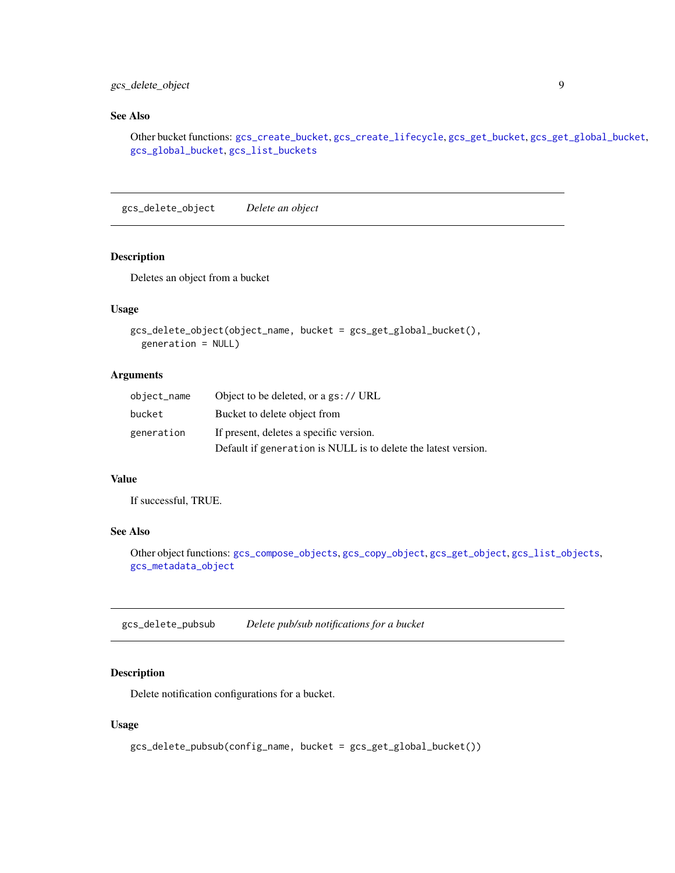# <span id="page-8-0"></span>gcs\_delete\_object 9

## See Also

Other bucket functions: [gcs\\_create\\_bucket](#page-4-1), [gcs\\_create\\_lifecycle](#page-5-1), [gcs\\_get\\_bucket](#page-11-1), [gcs\\_get\\_global\\_bucket](#page-13-1), [gcs\\_global\\_bucket](#page-17-1), [gcs\\_list\\_buckets](#page-18-1)

<span id="page-8-1"></span>gcs\_delete\_object *Delete an object*

## Description

Deletes an object from a bucket

# Usage

```
gcs_delete_object(object_name, bucket = gcs_get_global_bucket(),
  generation = NULL)
```
## Arguments

| object_name | Object to be deleted, or a gs:// URL                           |
|-------------|----------------------------------------------------------------|
| bucket      | Bucket to delete object from                                   |
| generation  | If present, deletes a specific version.                        |
|             | Default if generation is NULL is to delete the latest version. |

## Value

If successful, TRUE.

## See Also

Other object functions: [gcs\\_compose\\_objects](#page-2-1), [gcs\\_copy\\_object](#page-3-1), [gcs\\_get\\_object](#page-14-1), [gcs\\_list\\_objects](#page-19-1), [gcs\\_metadata\\_object](#page-21-1)

<span id="page-8-2"></span>gcs\_delete\_pubsub *Delete pub/sub notifications for a bucket*

# Description

Delete notification configurations for a bucket.

```
gcs_delete_pubsub(config_name, bucket = gcs_get_global_bucket())
```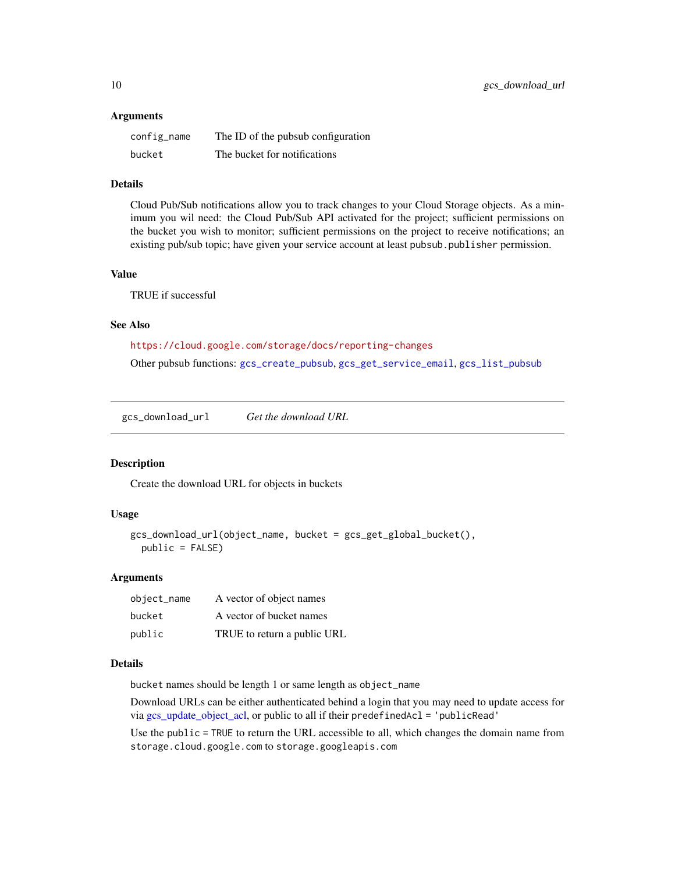<span id="page-9-0"></span>

| config_name | The ID of the pubsub configuration |
|-------------|------------------------------------|
| bucket      | The bucket for notifications       |

## Details

Cloud Pub/Sub notifications allow you to track changes to your Cloud Storage objects. As a minimum you wil need: the Cloud Pub/Sub API activated for the project; sufficient permissions on the bucket you wish to monitor; sufficient permissions on the project to receive notifications; an existing pub/sub topic; have given your service account at least pubsub.publisher permission.

## Value

TRUE if successful

## See Also

<https://cloud.google.com/storage/docs/reporting-changes>

Other pubsub functions: [gcs\\_create\\_pubsub](#page-6-1), [gcs\\_get\\_service\\_email](#page-16-1), [gcs\\_list\\_pubsub](#page-20-1)

<span id="page-9-1"></span>gcs\_download\_url *Get the download URL*

## Description

Create the download URL for objects in buckets

## Usage

```
gcs_download_url(object_name, bucket = gcs_get_global_bucket(),
 public = FALSE)
```
#### Arguments

| object_name | A vector of object names    |
|-------------|-----------------------------|
| bucket      | A vector of bucket names    |
| public      | TRUE to return a public URL |

#### Details

bucket names should be length 1 or same length as object\_name

Download URLs can be either authenticated behind a login that you may need to update access for via [gcs\\_update\\_object\\_acl,](#page-27-1) or public to all if their predefinedAcl = 'publicRead'

Use the public = TRUE to return the URL accessible to all, which changes the domain name from storage.cloud.google.com to storage.googleapis.com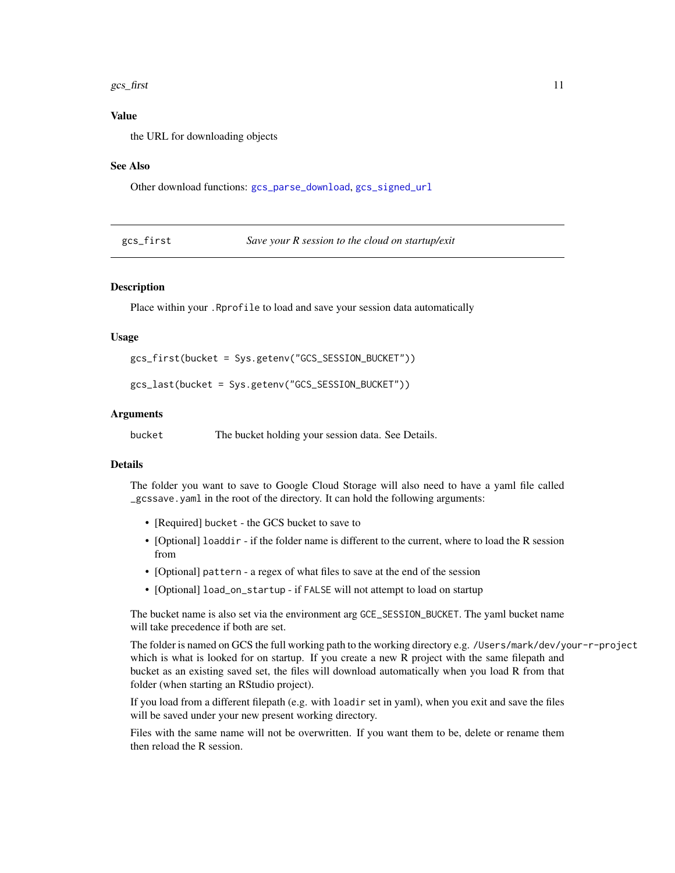#### <span id="page-10-0"></span> $gcs\_first$  11

## Value

the URL for downloading objects

#### See Also

Other download functions: [gcs\\_parse\\_download](#page-22-1), [gcs\\_signed\\_url](#page-25-1)

| gcs_first | Save your R session to the cloud on startup/exit |
|-----------|--------------------------------------------------|
|           |                                                  |

# Description

Place within your .Rprofile to load and save your session data automatically

#### Usage

gcs\_first(bucket = Sys.getenv("GCS\_SESSION\_BUCKET"))

gcs\_last(bucket = Sys.getenv("GCS\_SESSION\_BUCKET"))

#### **Arguments**

bucket The bucket holding your session data. See Details.

## Details

The folder you want to save to Google Cloud Storage will also need to have a yaml file called \_gcssave.yaml in the root of the directory. It can hold the following arguments:

- [Required] bucket the GCS bucket to save to
- [Optional] loaddir if the folder name is different to the current, where to load the R session from
- [Optional] pattern a regex of what files to save at the end of the session
- [Optional] load\_on\_startup if FALSE will not attempt to load on startup

The bucket name is also set via the environment arg GCE\_SESSION\_BUCKET. The yaml bucket name will take precedence if both are set.

The folder is named on GCS the full working path to the working directory e.g. /Users/mark/dev/your-r-project which is what is looked for on startup. If you create a new R project with the same filepath and bucket as an existing saved set, the files will download automatically when you load R from that folder (when starting an RStudio project).

If you load from a different filepath (e.g. with loadir set in yaml), when you exit and save the files will be saved under your new present working directory.

Files with the same name will not be overwritten. If you want them to be, delete or rename them then reload the R session.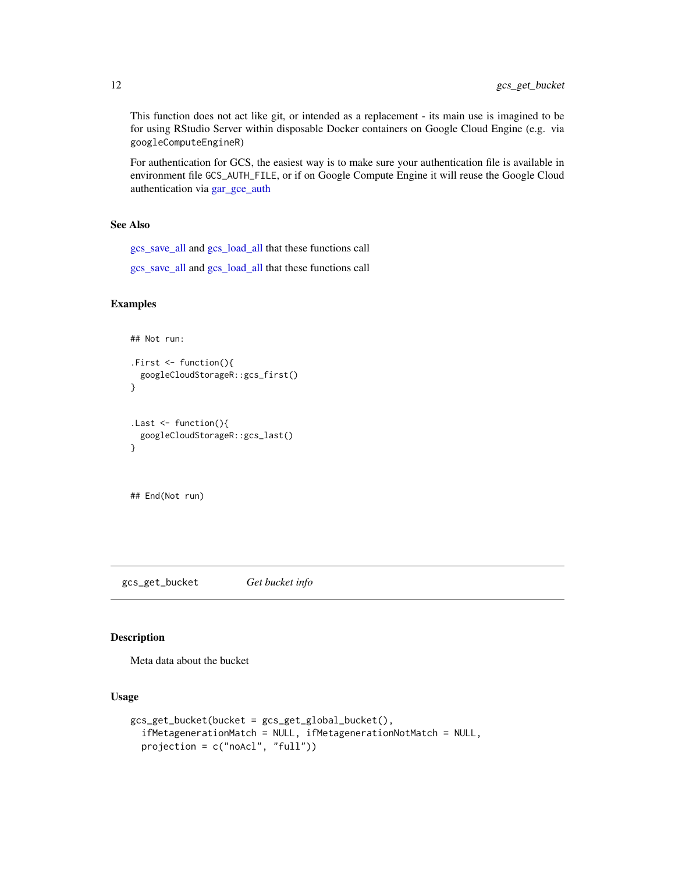This function does not act like git, or intended as a replacement - its main use is imagined to be for using RStudio Server within disposable Docker containers on Google Cloud Engine (e.g. via googleComputeEngineR)

For authentication for GCS, the easiest way is to make sure your authentication file is available in environment file GCS\_AUTH\_FILE, or if on Google Compute Engine it will reuse the Google Cloud authentication via [gar\\_gce\\_auth](#page-0-0)

# See Also

[gcs\\_save\\_all](#page-24-1) and [gcs\\_load\\_all](#page-24-2) that these functions call

[gcs\\_save\\_all](#page-24-1) and [gcs\\_load\\_all](#page-24-2) that these functions call

# Examples

```
## Not run:
.First <- function(){
 googleCloudStorageR::gcs_first()
}
.Last <- function(){
 googleCloudStorageR::gcs_last()
}
```
## End(Not run)

<span id="page-11-1"></span>gcs\_get\_bucket *Get bucket info*

# Description

Meta data about the bucket

```
gcs_get_bucket(bucket = gcs_get_global_bucket(),
  ifMetagenerationMatch = NULL, ifMetagenerationNotMatch = NULL,
 projection = c("noAcl", "full"))
```
<span id="page-11-0"></span>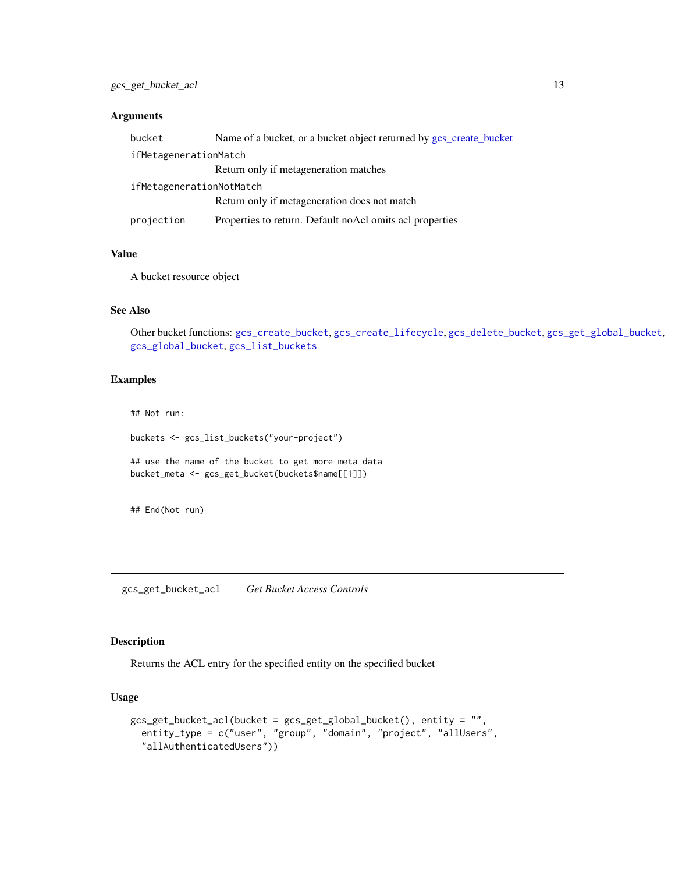<span id="page-12-0"></span>

| bucket                   | Name of a bucket, or a bucket object returned by gcs_create_bucket |  |
|--------------------------|--------------------------------------------------------------------|--|
| ifMetagenerationMatch    |                                                                    |  |
|                          | Return only if metageneration matches                              |  |
| ifMetagenerationNotMatch |                                                                    |  |
|                          | Return only if metageneration does not match                       |  |
| projection               | Properties to return. Default noAcl omits acl properties           |  |

# Value

A bucket resource object

# See Also

Other bucket functions: [gcs\\_create\\_bucket](#page-4-1), [gcs\\_create\\_lifecycle](#page-5-1), [gcs\\_delete\\_bucket](#page-7-1), [gcs\\_get\\_global\\_bucket](#page-13-1), [gcs\\_global\\_bucket](#page-17-1), [gcs\\_list\\_buckets](#page-18-1)

## Examples

## Not run:

buckets <- gcs\_list\_buckets("your-project")

## use the name of the bucket to get more meta data bucket\_meta <- gcs\_get\_bucket(buckets\$name[[1]])

## End(Not run)

<span id="page-12-1"></span>gcs\_get\_bucket\_acl *Get Bucket Access Controls*

## Description

Returns the ACL entry for the specified entity on the specified bucket

```
gcs_get_bucket_acl(bucket = gcs_get_global_bucket(), entity = "",
 entity_type = c("user", "group", "domain", "project", "allUsers",
  "allAuthenticatedUsers"))
```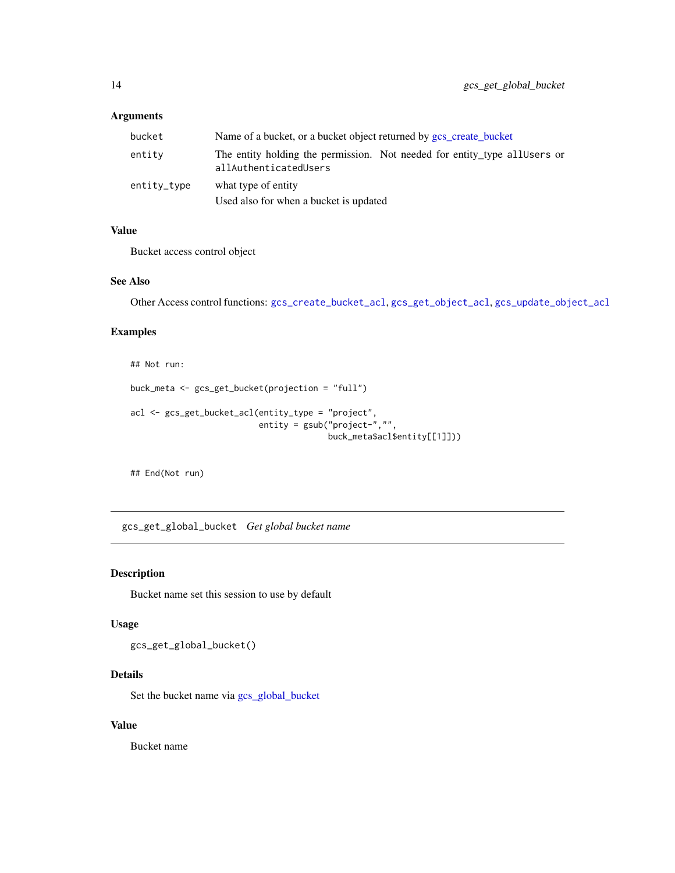<span id="page-13-0"></span>

| bucket      | Name of a bucket, or a bucket object returned by gcs_create_bucket                                  |
|-------------|-----------------------------------------------------------------------------------------------------|
| entity      | The entity holding the permission. Not needed for entity type all Users or<br>allAuthenticatedUsers |
| entity_type | what type of entity<br>Used also for when a bucket is updated                                       |

# Value

Bucket access control object

#### See Also

```
Other Access control functions: gcs_create_bucket_acl, gcs_get_object_acl, gcs_update_object_acl
```
## Examples

```
## Not run:
buck_meta <- gcs_get_bucket(projection = "full")
acl <- gcs_get_bucket_acl(entity_type = "project",
                           entity = gsub("project-","",
                                        buck_meta$acl$entity[[1]]))
```
## End(Not run)

<span id="page-13-1"></span>gcs\_get\_global\_bucket *Get global bucket name*

## Description

Bucket name set this session to use by default

# Usage

gcs\_get\_global\_bucket()

# Details

Set the bucket name via [gcs\\_global\\_bucket](#page-17-1)

# Value

Bucket name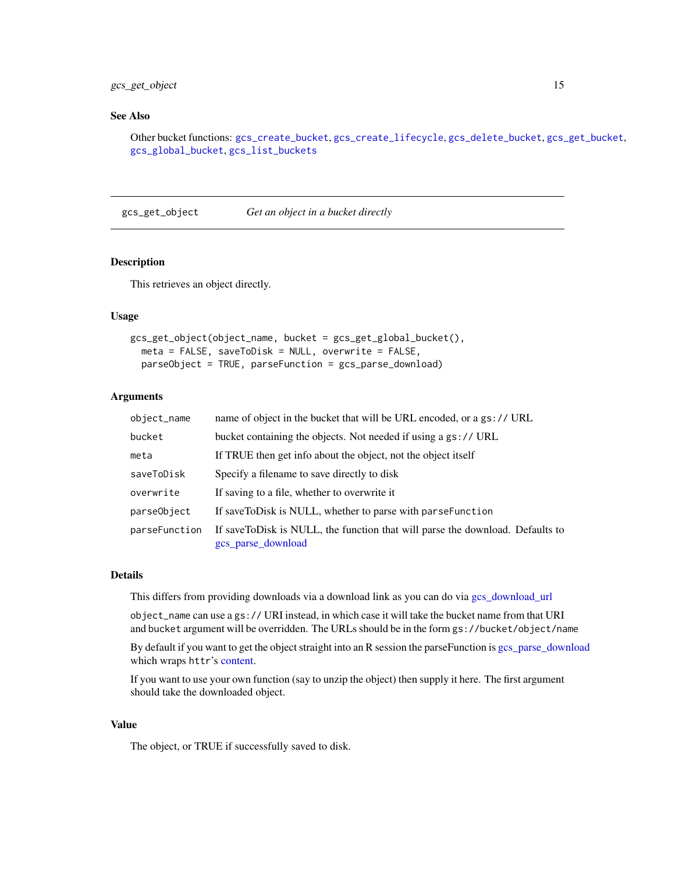# <span id="page-14-0"></span>gcs\_get\_object 15

## See Also

Other bucket functions: [gcs\\_create\\_bucket](#page-4-1), [gcs\\_create\\_lifecycle](#page-5-1), [gcs\\_delete\\_bucket](#page-7-1), [gcs\\_get\\_bucket](#page-11-1), [gcs\\_global\\_bucket](#page-17-1), [gcs\\_list\\_buckets](#page-18-1)

<span id="page-14-1"></span>gcs\_get\_object *Get an object in a bucket directly*

## Description

This retrieves an object directly.

## Usage

```
gcs_get_object(object_name, bucket = gcs_get_global_bucket(),
 meta = FALSE, saveToDisk = NULL, overwrite = FALSE,
 parseObject = TRUE, parseFunction = gcs_parse_download)
```
#### Arguments

| object_name   | name of object in the bucket that will be URL encoded, or a gs:// URL                               |
|---------------|-----------------------------------------------------------------------------------------------------|
| bucket        | bucket containing the objects. Not needed if using a gs:// URL                                      |
| meta          | If TRUE then get info about the object, not the object itself                                       |
| saveToDisk    | Specify a filename to save directly to disk                                                         |
| overwrite     | If saving to a file, whether to overwrite it                                                        |
| parseObject   | If saveToDisk is NULL, whether to parse with parseFunction                                          |
| parseFunction | If saveToDisk is NULL, the function that will parse the download. Defaults to<br>gcs_parse_download |

#### Details

This differs from providing downloads via a download link as you can do via [gcs\\_download\\_url](#page-9-1)

object\_name can use a gs:// URI instead, in which case it will take the bucket name from that URI and bucket argument will be overridden. The URLs should be in the form gs://bucket/object/name

By default if you want to get the object straight into an R session the parseFunction is [gcs\\_parse\\_download](#page-22-1) which wraps httr's [content.](#page-0-0)

If you want to use your own function (say to unzip the object) then supply it here. The first argument should take the downloaded object.

#### Value

The object, or TRUE if successfully saved to disk.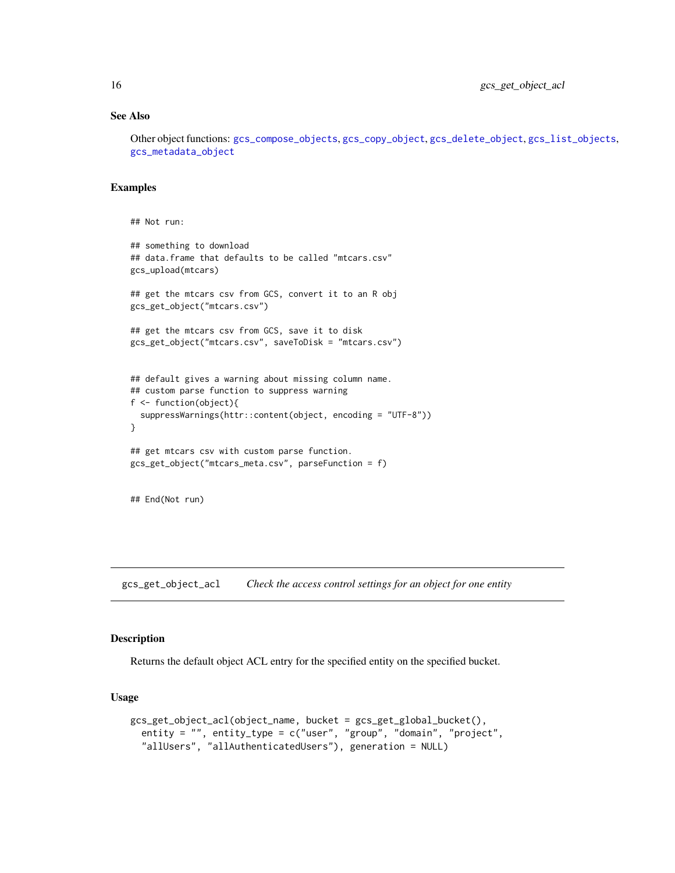# See Also

Other object functions: [gcs\\_compose\\_objects](#page-2-1), [gcs\\_copy\\_object](#page-3-1), [gcs\\_delete\\_object](#page-8-1), [gcs\\_list\\_objects](#page-19-1), [gcs\\_metadata\\_object](#page-21-1)

# Examples

```
## Not run:
## something to download
## data.frame that defaults to be called "mtcars.csv"
gcs_upload(mtcars)
## get the mtcars csv from GCS, convert it to an R obj
gcs_get_object("mtcars.csv")
## get the mtcars csv from GCS, save it to disk
gcs_get_object("mtcars.csv", saveToDisk = "mtcars.csv")
## default gives a warning about missing column name.
## custom parse function to suppress warning
f <- function(object){
 suppressWarnings(httr::content(object, encoding = "UTF-8"))
}
## get mtcars csv with custom parse function.
gcs_get_object("mtcars_meta.csv", parseFunction = f)
## End(Not run)
```
<span id="page-15-1"></span>gcs\_get\_object\_acl *Check the access control settings for an object for one entity*

## Description

Returns the default object ACL entry for the specified entity on the specified bucket.

```
gcs_get_object_acl(object_name, bucket = gcs_get_global_bucket(),
  entity = "", entity_type = c("user", "group", "domain", "project",
  "allUsers", "allAuthenticatedUsers"), generation = NULL)
```
<span id="page-15-0"></span>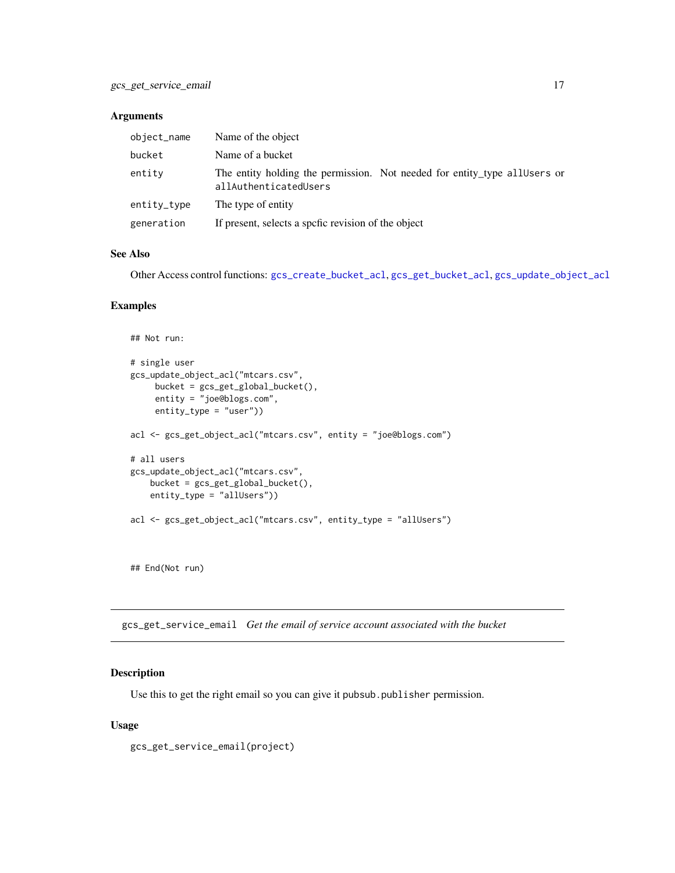<span id="page-16-0"></span>

| object_name | Name of the object                                                                                 |
|-------------|----------------------------------------------------------------------------------------------------|
| bucket      | Name of a bucket                                                                                   |
| entity      | The entity holding the permission. Not needed for entity_type allUsers or<br>allAuthenticatedUsers |
| entity_type | The type of entity                                                                                 |
| generation  | If present, selects a speric revision of the object                                                |

## See Also

Other Access control functions: [gcs\\_create\\_bucket\\_acl](#page-5-2), [gcs\\_get\\_bucket\\_acl](#page-12-1), [gcs\\_update\\_object\\_acl](#page-27-1)

#### Examples

```
## Not run:
# single user
gcs_update_object_acl("mtcars.csv",
    bucket = gcs_get_global_bucket(),
     entity = "joe@blogs.com",
     entity_type = "user"))
acl <- gcs_get_object_acl("mtcars.csv", entity = "joe@blogs.com")
# all users
gcs_update_object_acl("mtcars.csv",
    bucket = gcs_get_global_bucket(),
   entity_type = "allUsers"))
acl <- gcs_get_object_acl("mtcars.csv", entity_type = "allUsers")
```
## End(Not run)

<span id="page-16-1"></span>gcs\_get\_service\_email *Get the email of service account associated with the bucket*

## Description

Use this to get the right email so you can give it pubsub.publisher permission.

```
gcs_get_service_email(project)
```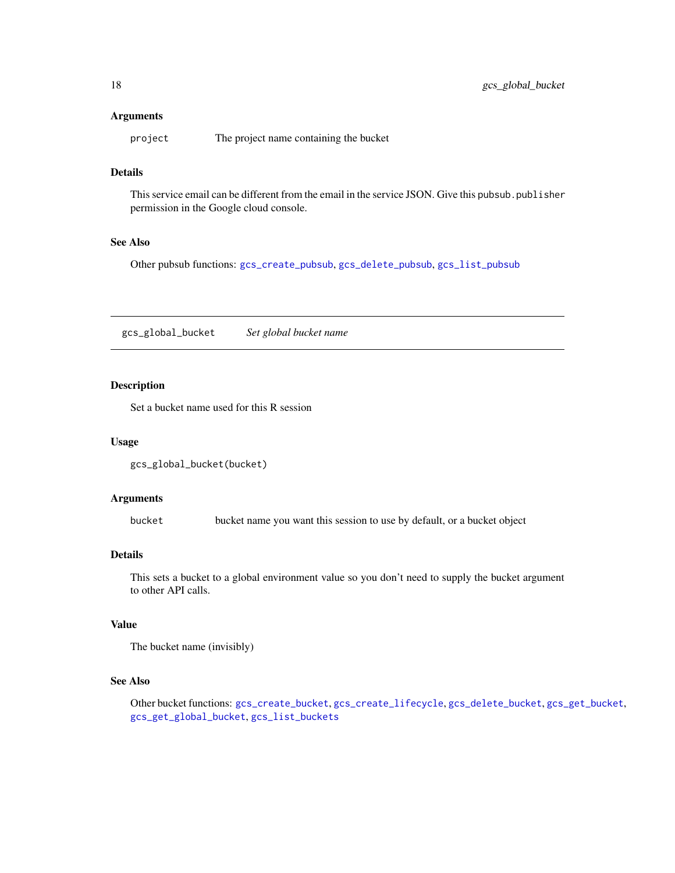<span id="page-17-0"></span>project The project name containing the bucket

## Details

This service email can be different from the email in the service JSON. Give this pubsub.publisher permission in the Google cloud console.

## See Also

Other pubsub functions: [gcs\\_create\\_pubsub](#page-6-1), [gcs\\_delete\\_pubsub](#page-8-2), [gcs\\_list\\_pubsub](#page-20-1)

<span id="page-17-1"></span>gcs\_global\_bucket *Set global bucket name*

# Description

Set a bucket name used for this R session

## Usage

```
gcs_global_bucket(bucket)
```
## Arguments

bucket bucket name you want this session to use by default, or a bucket object

## Details

This sets a bucket to a global environment value so you don't need to supply the bucket argument to other API calls.

# Value

The bucket name (invisibly)

# See Also

Other bucket functions: [gcs\\_create\\_bucket](#page-4-1), [gcs\\_create\\_lifecycle](#page-5-1), [gcs\\_delete\\_bucket](#page-7-1), [gcs\\_get\\_bucket](#page-11-1), [gcs\\_get\\_global\\_bucket](#page-13-1), [gcs\\_list\\_buckets](#page-18-1)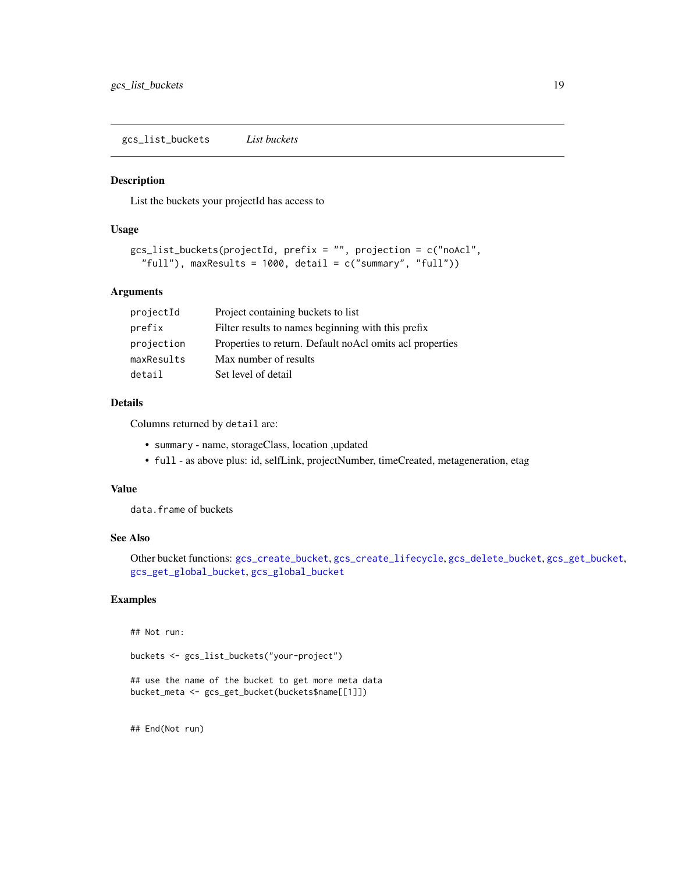<span id="page-18-1"></span><span id="page-18-0"></span>gcs\_list\_buckets *List buckets*

## Description

List the buckets your projectId has access to

## Usage

```
gcs_list_buckets(projectId, prefix = "", projection = c("noAcl",
  "full"), maxResults = 1000, detail = c("summary", "full"))
```
# Arguments

| projectId  | Project containing buckets to list                       |
|------------|----------------------------------------------------------|
| prefix     | Filter results to names beginning with this prefix       |
| projection | Properties to return. Default noAcl omits acl properties |
| maxResults | Max number of results                                    |
| detail     | Set level of detail                                      |

## Details

Columns returned by detail are:

- summary name, storageClass, location ,updated
- full as above plus: id, selfLink, projectNumber, timeCreated, metageneration, etag

#### Value

data.frame of buckets

#### See Also

Other bucket functions: [gcs\\_create\\_bucket](#page-4-1), [gcs\\_create\\_lifecycle](#page-5-1), [gcs\\_delete\\_bucket](#page-7-1), [gcs\\_get\\_bucket](#page-11-1), [gcs\\_get\\_global\\_bucket](#page-13-1), [gcs\\_global\\_bucket](#page-17-1)

# Examples

## Not run:

buckets <- gcs\_list\_buckets("your-project")

```
## use the name of the bucket to get more meta data
bucket_meta <- gcs_get_bucket(buckets$name[[1]])
```
## End(Not run)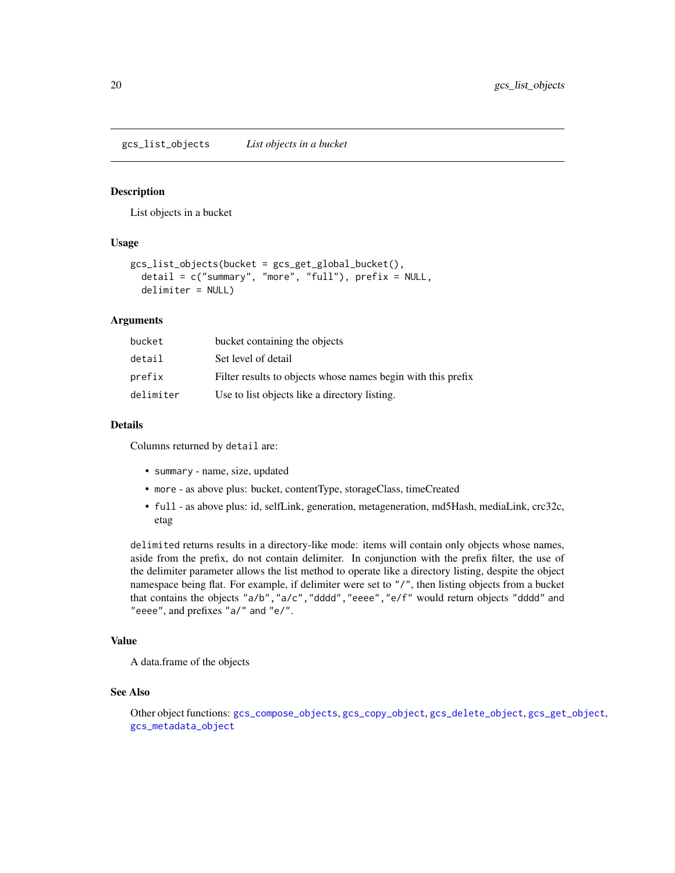<span id="page-19-1"></span><span id="page-19-0"></span>gcs\_list\_objects *List objects in a bucket*

#### Description

List objects in a bucket

# Usage

```
gcs_list_objects(bucket = gcs_get_global_bucket(),
  detail = c("summary", "more", "full"), prefix = NULL,
  delimiter = NULL)
```
# Arguments

| bucket    | bucket containing the objects                                |
|-----------|--------------------------------------------------------------|
| detail    | Set level of detail                                          |
| prefix    | Filter results to objects whose names begin with this prefix |
| delimiter | Use to list objects like a directory listing.                |

#### Details

Columns returned by detail are:

- summary name, size, updated
- more as above plus: bucket, contentType, storageClass, timeCreated
- full as above plus: id, selfLink, generation, metageneration, md5Hash, mediaLink, crc32c, etag

delimited returns results in a directory-like mode: items will contain only objects whose names, aside from the prefix, do not contain delimiter. In conjunction with the prefix filter, the use of the delimiter parameter allows the list method to operate like a directory listing, despite the object namespace being flat. For example, if delimiter were set to  $''/$ ", then listing objects from a bucket that contains the objects "a/b","a/c","dddd","eeee","e/f" would return objects "dddd" and "eeee", and prefixes "a/" and "e/".

#### Value

A data.frame of the objects

#### See Also

Other object functions: [gcs\\_compose\\_objects](#page-2-1), [gcs\\_copy\\_object](#page-3-1), [gcs\\_delete\\_object](#page-8-1), [gcs\\_get\\_object](#page-14-1), [gcs\\_metadata\\_object](#page-21-1)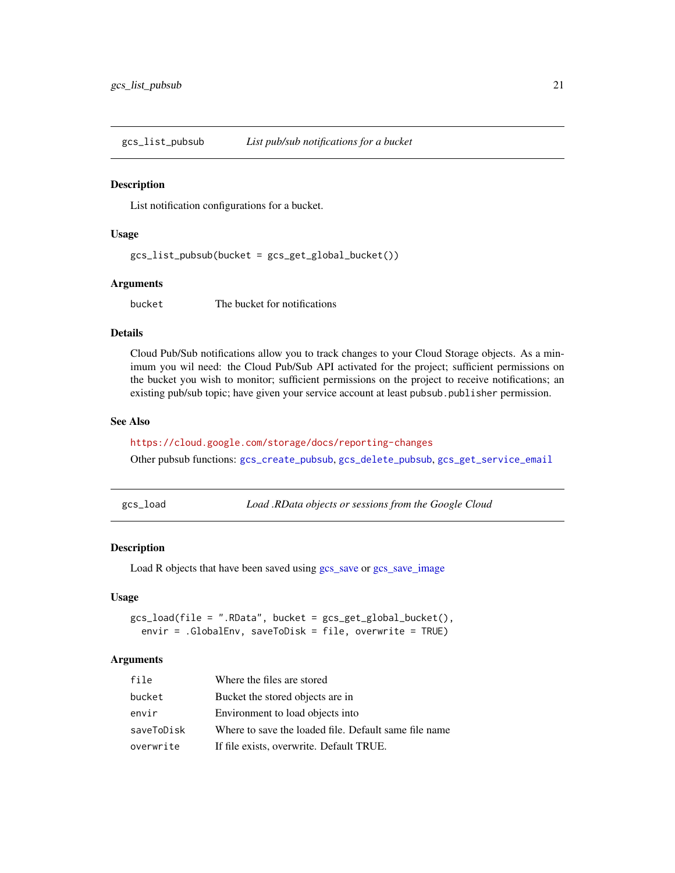<span id="page-20-1"></span><span id="page-20-0"></span>

#### Description

List notification configurations for a bucket.

#### Usage

gcs\_list\_pubsub(bucket = gcs\_get\_global\_bucket())

## Arguments

bucket The bucket for notifications

## Details

Cloud Pub/Sub notifications allow you to track changes to your Cloud Storage objects. As a minimum you wil need: the Cloud Pub/Sub API activated for the project; sufficient permissions on the bucket you wish to monitor; sufficient permissions on the project to receive notifications; an existing pub/sub topic; have given your service account at least pubsub.publisher permission.

#### See Also

<https://cloud.google.com/storage/docs/reporting-changes>

Other pubsub functions: [gcs\\_create\\_pubsub](#page-6-1), [gcs\\_delete\\_pubsub](#page-8-2), [gcs\\_get\\_service\\_email](#page-16-1)

<span id="page-20-2"></span>gcs\_load *Load .RData objects or sessions from the Google Cloud*

## Description

Load R objects that have been saved using [gcs\\_save](#page-23-1) or [gcs\\_save\\_image](#page-25-2)

## Usage

gcs\_load(file = ".RData", bucket = gcs\_get\_global\_bucket(), envir = .GlobalEnv, saveToDisk = file, overwrite = TRUE)

#### Arguments

| file       | Where the files are stored                            |
|------------|-------------------------------------------------------|
| bucket     | Bucket the stored objects are in                      |
| envir      | Environment to load objects into                      |
| saveToDisk | Where to save the loaded file. Default same file name |
| overwrite  | If file exists, overwrite. Default TRUE.              |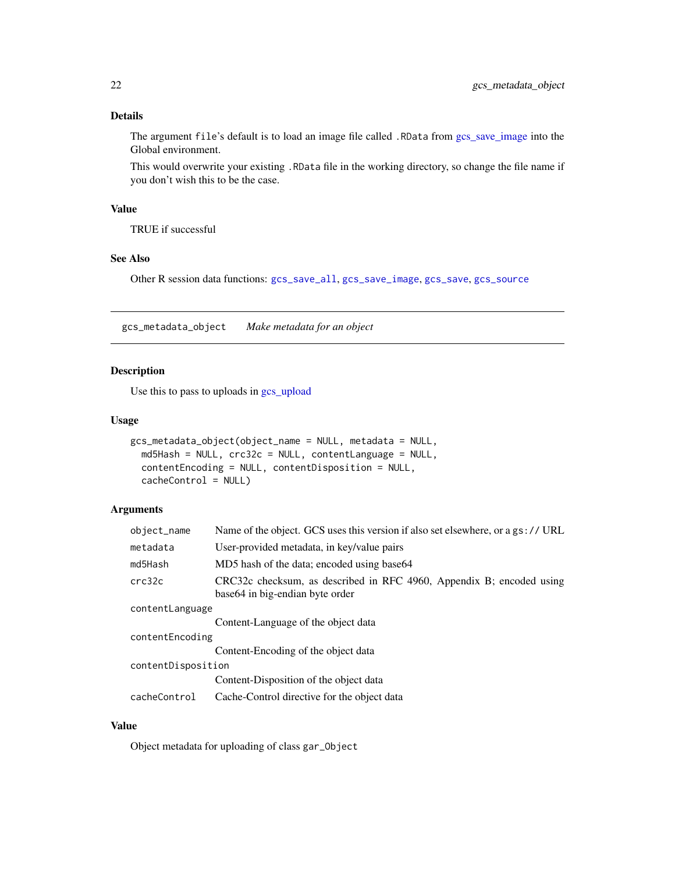# <span id="page-21-0"></span>Details

The argument file's default is to load an image file called .RData from [gcs\\_save\\_image](#page-25-2) into the Global environment.

This would overwrite your existing .RData file in the working directory, so change the file name if you don't wish this to be the case.

# Value

TRUE if successful

## See Also

Other R session data functions: [gcs\\_save\\_all](#page-24-1), [gcs\\_save\\_image](#page-25-2), [gcs\\_save](#page-23-1), [gcs\\_source](#page-27-2)

<span id="page-21-1"></span>gcs\_metadata\_object *Make metadata for an object*

# Description

Use this to pass to uploads in [gcs\\_upload](#page-28-1)

## Usage

```
gcs_metadata_object(object_name = NULL, metadata = NULL,
 md5Hash = NULL, crc32c = NULL, contentLanguage = NULL,
 contentEncoding = NULL, contentDisposition = NULL,
 cacheControl = NULL)
```
# Arguments

| object_name        | Name of the object. GCS uses this version if also set elsewhere, or a gs:// URL                          |  |
|--------------------|----------------------------------------------------------------------------------------------------------|--|
| metadata           | User-provided metadata, in key/value pairs                                                               |  |
| md5Hash            | MD5 hash of the data; encoded using base64                                                               |  |
| crc32c             | CRC32c checksum, as described in RFC 4960, Appendix B; encoded using<br>base 64 in big-endian byte order |  |
| contentLanguage    |                                                                                                          |  |
|                    | Content-Language of the object data                                                                      |  |
| contentEncoding    |                                                                                                          |  |
|                    | Content-Encoding of the object data                                                                      |  |
| contentDisposition |                                                                                                          |  |
|                    | Content-Disposition of the object data                                                                   |  |
| cacheControl       | Cache-Control directive for the object data                                                              |  |

# Value

Object metadata for uploading of class gar\_Object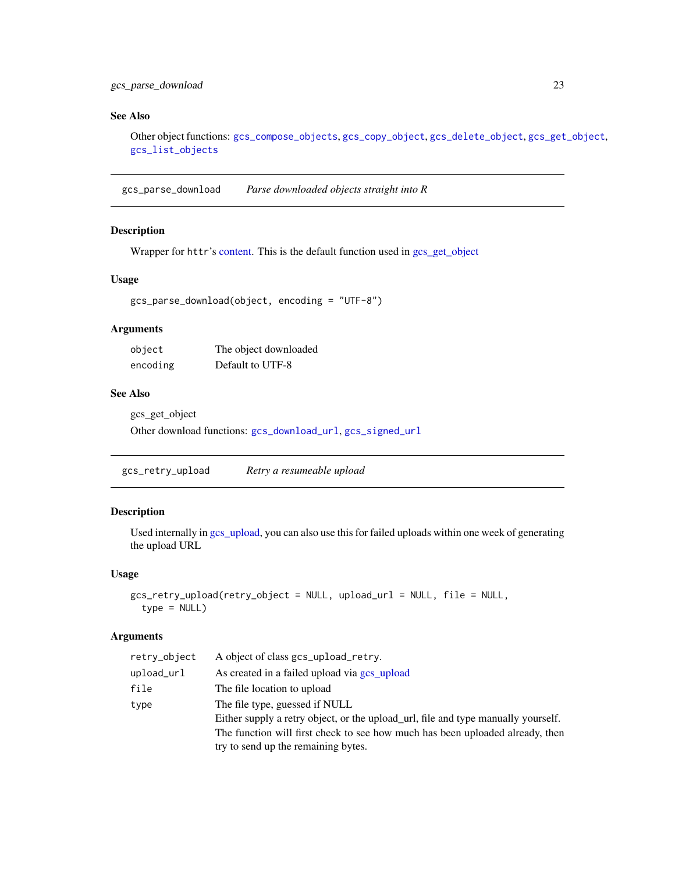## <span id="page-22-0"></span>See Also

Other object functions: [gcs\\_compose\\_objects](#page-2-1), [gcs\\_copy\\_object](#page-3-1), [gcs\\_delete\\_object](#page-8-1), [gcs\\_get\\_object](#page-14-1), [gcs\\_list\\_objects](#page-19-1)

<span id="page-22-1"></span>gcs\_parse\_download *Parse downloaded objects straight into R*

## Description

Wrapper for httr's [content.](#page-0-0) This is the default function used in [gcs\\_get\\_object](#page-14-1)

## Usage

```
gcs_parse_download(object, encoding = "UTF-8")
```
## Arguments

| object   | The object downloaded |
|----------|-----------------------|
| encoding | Default to UTF-8      |

## See Also

gcs\_get\_object

Other download functions: [gcs\\_download\\_url](#page-9-1), [gcs\\_signed\\_url](#page-25-1)

gcs\_retry\_upload *Retry a resumeable upload*

# Description

Used internally in [gcs\\_upload,](#page-28-1) you can also use this for failed uploads within one week of generating the upload URL

#### Usage

```
gcs_retry_upload(retry_object = NULL, upload_url = NULL, file = NULL,
  type = NULL)
```
# Arguments

| retry_object | A object of class gcs_upload_retry.                                               |
|--------------|-----------------------------------------------------------------------------------|
| upload_url   | As created in a failed upload via gcs_upload                                      |
| file         | The file location to upload                                                       |
| type         | The file type, guessed if NULL                                                    |
|              | Either supply a retry object, or the upload_url, file and type manually yourself. |
|              | The function will first check to see how much has been uploaded already, then     |
|              | try to send up the remaining bytes.                                               |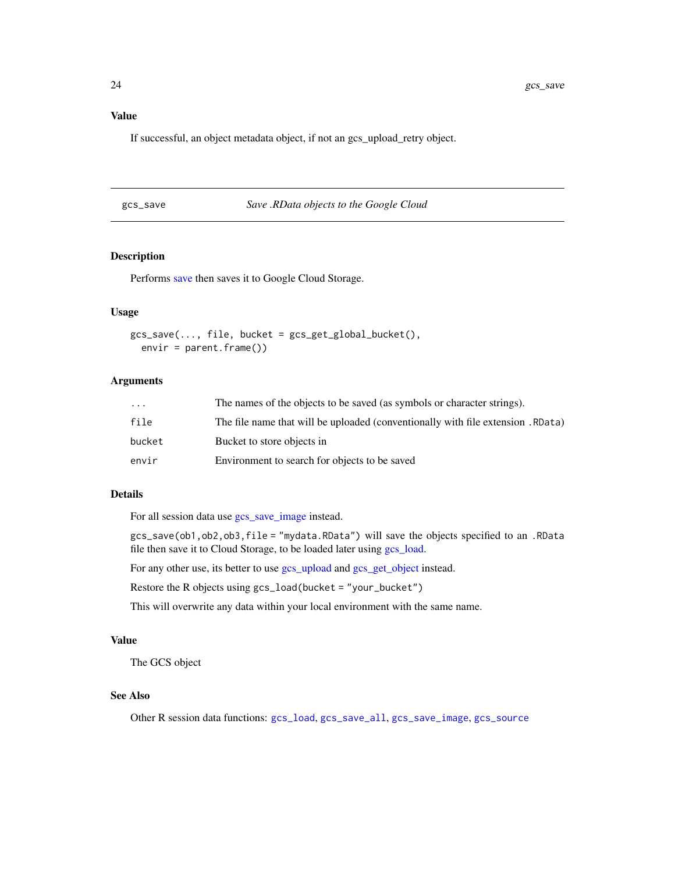# <span id="page-23-0"></span>Value

If successful, an object metadata object, if not an gcs\_upload\_retry object.

<span id="page-23-1"></span>

|  | gcs_save |  |
|--|----------|--|
|  |          |  |

Save *.RData objects to the Google Cloud* 

# Description

Performs [save](#page-0-0) then saves it to Google Cloud Storage.

# Usage

```
gcs\_save(..., file, bucket = gcs\_get\_global_bucket(),envir = parent.frame()
```
# Arguments

| $\ddotsc$ | The names of the objects to be saved (as symbols or character strings).       |
|-----------|-------------------------------------------------------------------------------|
| file      | (Represent that will be uploaded (conventionally with file extension . RData) |
| bucket    | Bucket to store objects in                                                    |
| envir     | Environment to search for objects to be saved                                 |

#### Details

For all session data use [gcs\\_save\\_image](#page-25-2) instead.

gcs\_save(ob1,ob2,ob3,file = "mydata.RData") will save the objects specified to an .RData file then save it to Cloud Storage, to be loaded later using [gcs\\_load.](#page-20-2)

For any other use, its better to use [gcs\\_upload](#page-28-1) and [gcs\\_get\\_object](#page-14-1) instead.

Restore the R objects using gcs\_load(bucket = "your\_bucket")

This will overwrite any data within your local environment with the same name.

## Value

The GCS object

#### See Also

Other R session data functions: [gcs\\_load](#page-20-2), [gcs\\_save\\_all](#page-24-1), [gcs\\_save\\_image](#page-25-2), [gcs\\_source](#page-27-2)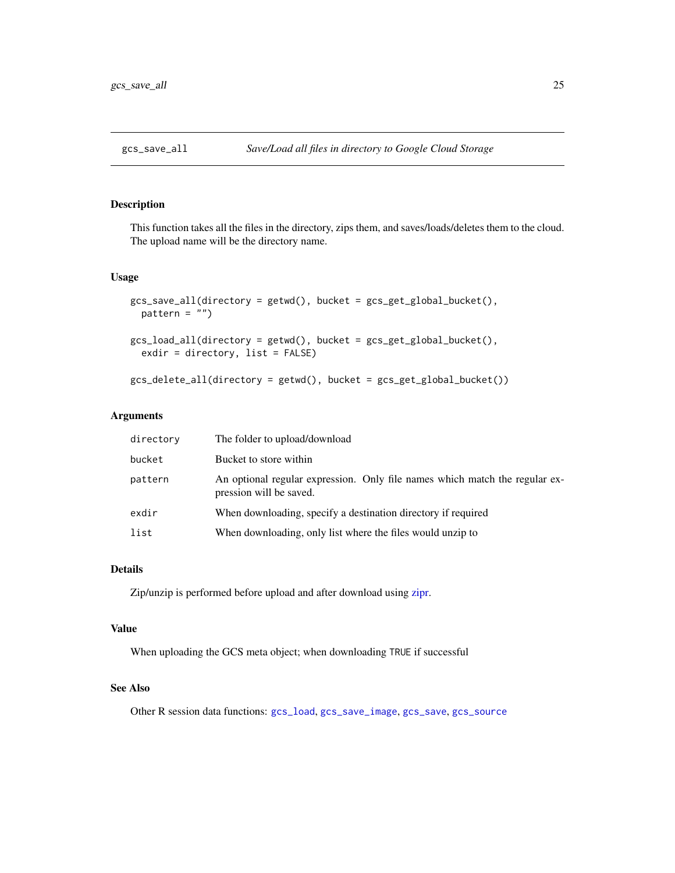<span id="page-24-1"></span><span id="page-24-0"></span>

# <span id="page-24-2"></span>Description

This function takes all the files in the directory, zips them, and saves/loads/deletes them to the cloud. The upload name will be the directory name.

## Usage

```
gcs_save_all(directory = getwd(), bucket = gcs_get_global_bucket(),
 pattern = "")gcs_load_all(directory = getwd(), bucket = gcs_get_global_bucket(),
  exdir = directory, list = FALSE)
gcs_delete_all(directory = getwd(), bucket = gcs_get_global_bucket())
```
## Arguments

| directory | The folder to upload/download                                                                          |
|-----------|--------------------------------------------------------------------------------------------------------|
| bucket    | Bucket to store within                                                                                 |
| pattern   | An optional regular expression. Only file names which match the regular ex-<br>pression will be saved. |
| exdir     | When downloading, specify a destination directory if required                                          |
| list      | When downloading, only list where the files would unzip to                                             |

## Details

Zip/unzip is performed before upload and after download using [zipr.](#page-0-0)

#### Value

When uploading the GCS meta object; when downloading TRUE if successful

## See Also

Other R session data functions: [gcs\\_load](#page-20-2), [gcs\\_save\\_image](#page-25-2), [gcs\\_save](#page-23-1), [gcs\\_source](#page-27-2)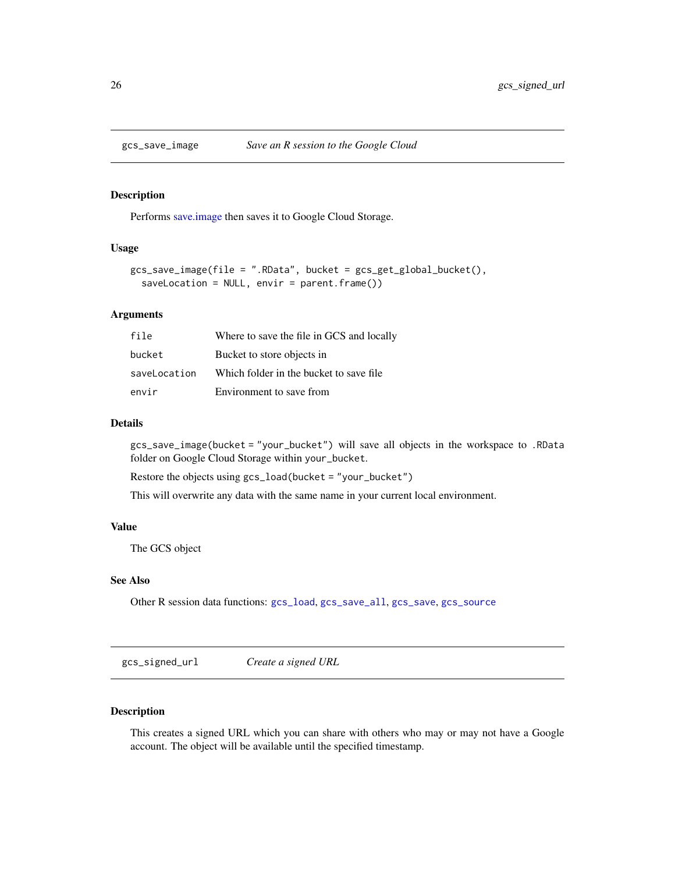<span id="page-25-2"></span><span id="page-25-0"></span>

## Description

Performs [save.image](#page-0-0) then saves it to Google Cloud Storage.

## Usage

```
gcs_save_image(file = ".RData", bucket = gcs_get_global_bucket(),
  saveLocation = NULL, envir = parent.frame())
```
# Arguments

| file         | Where to save the file in GCS and locally |
|--------------|-------------------------------------------|
| bucket       | Bucket to store objects in                |
| saveLocation | Which folder in the bucket to save file.  |
| envir        | Environment to save from                  |

## Details

gcs\_save\_image(bucket = "your\_bucket") will save all objects in the workspace to .RData folder on Google Cloud Storage within your\_bucket.

Restore the objects using gcs\_load(bucket = "your\_bucket")

This will overwrite any data with the same name in your current local environment.

## Value

The GCS object

## See Also

Other R session data functions: [gcs\\_load](#page-20-2), [gcs\\_save\\_all](#page-24-1), [gcs\\_save](#page-23-1), [gcs\\_source](#page-27-2)

<span id="page-25-1"></span>gcs\_signed\_url *Create a signed URL*

# Description

This creates a signed URL which you can share with others who may or may not have a Google account. The object will be available until the specified timestamp.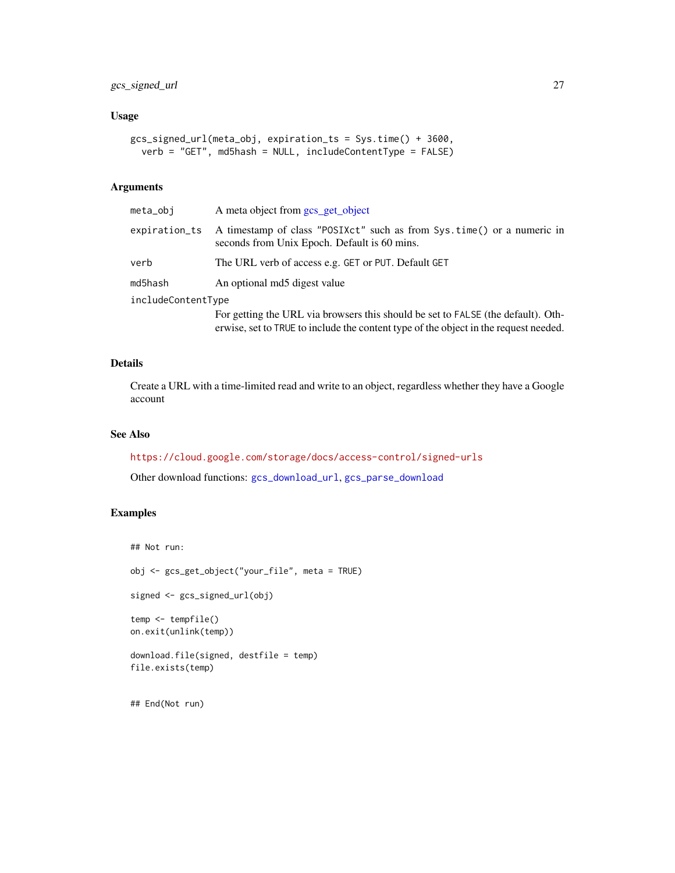# <span id="page-26-0"></span>gcs\_signed\_url 27

## Usage

```
gcs_signed_url(meta_obj, expiration_ts = Sys.time() + 3600,
 verb = "GET", md5hash = NULL, includeContentType = FALSE)
```
# Arguments

| meta_obi           | A meta object from gcs_get_object                                                                                      |  |
|--------------------|------------------------------------------------------------------------------------------------------------------------|--|
| expiration_ts      | A timestamp of class "POSIXct" such as from Sys.time() or a numeric in<br>seconds from Unix Epoch. Default is 60 mins. |  |
| verb               | The URL verb of access e.g. GET or PUT. Default GET                                                                    |  |
| md5hash            | An optional md5 digest value                                                                                           |  |
| includeContentType |                                                                                                                        |  |
|                    | For getting the URL via browsers this should be set to FALSE (the default). Oth-                                       |  |

erwise, set to TRUE to include the content type of the object in the request needed.

#### Details

Create a URL with a time-limited read and write to an object, regardless whether they have a Google account

## See Also

<https://cloud.google.com/storage/docs/access-control/signed-urls>

Other download functions: [gcs\\_download\\_url](#page-9-1), [gcs\\_parse\\_download](#page-22-1)

## Examples

```
## Not run:
obj <- gcs_get_object("your_file", meta = TRUE)
signed <- gcs_signed_url(obj)
temp <- tempfile()
on.exit(unlink(temp))
download.file(signed, destfile = temp)
file.exists(temp)
## End(Not run)
```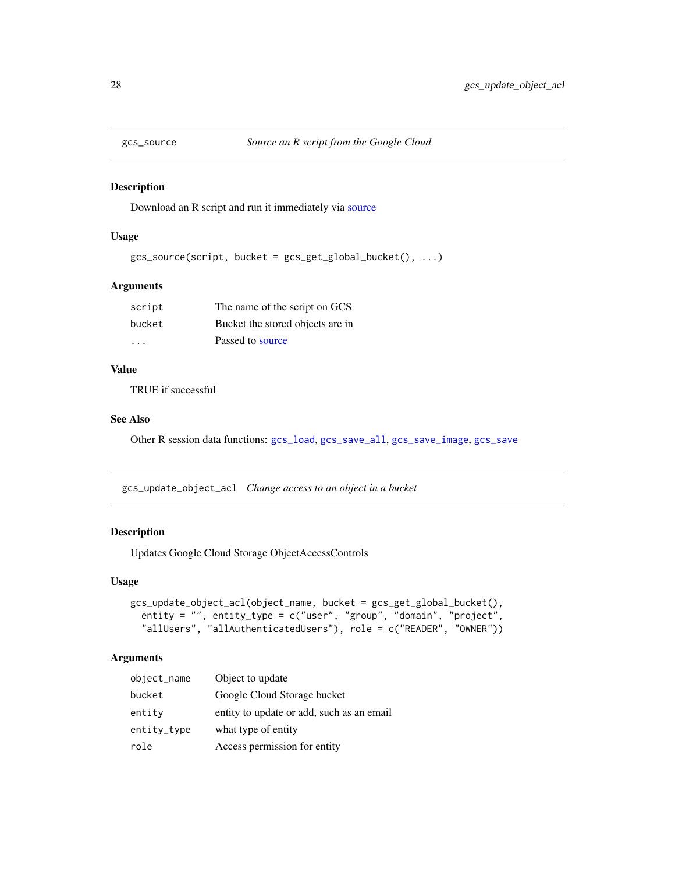<span id="page-27-2"></span><span id="page-27-0"></span>

#### Description

Download an R script and run it immediately via [source](#page-0-0)

# Usage

```
gcs\_source(script, bucket = gcs\_get\_global_bucket(), ...)
```
## Arguments

| script  | The name of the script on GCS    |
|---------|----------------------------------|
| bucket  | Bucket the stored objects are in |
| $\cdot$ | Passed to source                 |

# Value

TRUE if successful

# See Also

Other R session data functions: [gcs\\_load](#page-20-2), [gcs\\_save\\_all](#page-24-1), [gcs\\_save\\_image](#page-25-2), [gcs\\_save](#page-23-1)

<span id="page-27-1"></span>gcs\_update\_object\_acl *Change access to an object in a bucket*

#### Description

Updates Google Cloud Storage ObjectAccessControls

# Usage

```
gcs_update_object_acl(object_name, bucket = gcs_get_global_bucket(),
  entity = "", entity_type = c("user", "group", "domain", "project",
  "allUsers", "allAuthenticatedUsers"), role = c("READER", "OWNER"))
```
## Arguments

| object_name | Object to update                          |
|-------------|-------------------------------------------|
| bucket      | Google Cloud Storage bucket               |
| entity      | entity to update or add, such as an email |
| entity_type | what type of entity                       |
| role        | Access permission for entity              |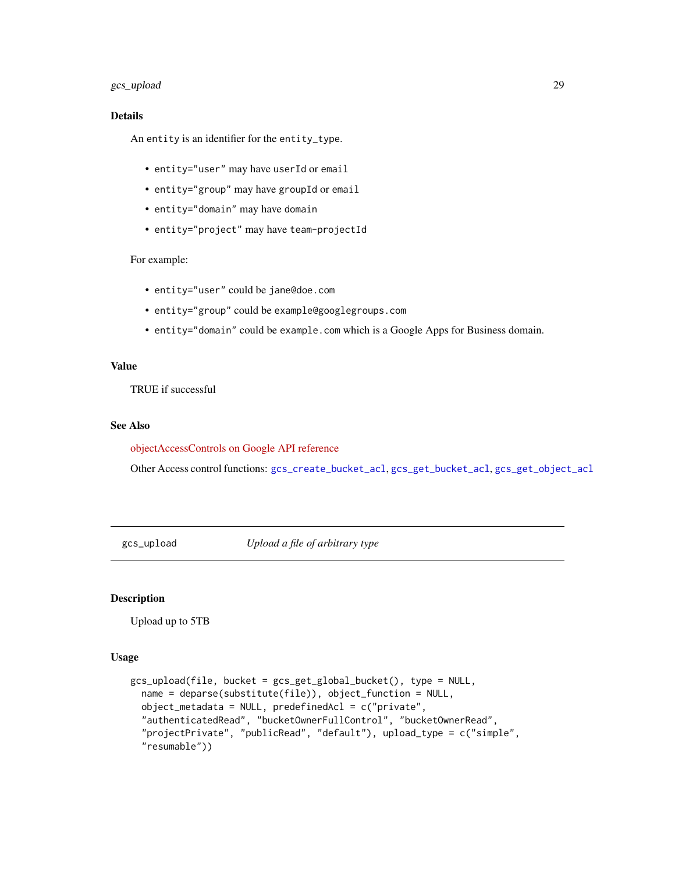# <span id="page-28-0"></span>gcs\_upload 29

## Details

An entity is an identifier for the entity\_type.

- entity="user" may have userId or email
- entity="group" may have groupId or email
- entity="domain" may have domain
- entity="project" may have team-projectId

## For example:

- entity="user" could be jane@doe.com
- entity="group" could be example@googlegroups.com
- entity="domain" could be example.com which is a Google Apps for Business domain.

#### Value

TRUE if successful

## See Also

[objectAccessControls on Google API reference](https://cloud.google.com/storage/docs/json_api/v1/objectAccessControls/insert)

Other Access control functions: [gcs\\_create\\_bucket\\_acl](#page-5-2), [gcs\\_get\\_bucket\\_acl](#page-12-1), [gcs\\_get\\_object\\_acl](#page-15-1)

<span id="page-28-1"></span>gcs\_upload *Upload a file of arbitrary type*

## Description

Upload up to 5TB

```
gcs_upload(file, bucket = gcs_get_global_bucket(), type = NULL,
 name = deparse(substitute(file)), object_function = NULL,
 object_metadata = NULL, predefinedAcl = c("private",
  "authenticatedRead", "bucketOwnerFullControl", "bucketOwnerRead",
  "projectPrivate", "publicRead", "default"), upload_type = c("simple",
  "resumable"))
```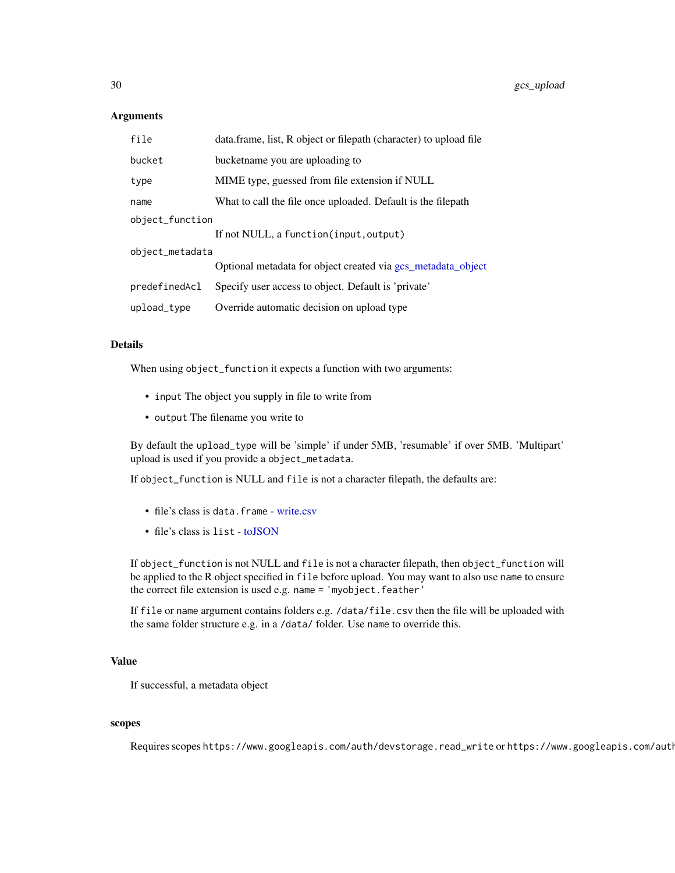<span id="page-29-0"></span>

| file            | data.frame, list, R object or filepath (character) to upload file |  |
|-----------------|-------------------------------------------------------------------|--|
| bucket          | bucketname you are uploading to                                   |  |
| type            | MIME type, guessed from file extension if NULL                    |  |
| name            | What to call the file once uploaded. Default is the filepath      |  |
| object_function |                                                                   |  |
|                 | If not NULL, a function (input, output)                           |  |
| object_metadata |                                                                   |  |
|                 | Optional metadata for object created via gcs metadata object      |  |
| predefinedAcl   | Specify user access to object. Default is 'private'               |  |
| upload_type     | Override automatic decision on upload type                        |  |

## Details

When using object\_function it expects a function with two arguments:

- input The object you supply in file to write from
- output The filename you write to

By default the upload\_type will be 'simple' if under 5MB, 'resumable' if over 5MB. 'Multipart' upload is used if you provide a object\_metadata.

If object\_function is NULL and file is not a character filepath, the defaults are:

- file's class is data.frame [write.csv](#page-0-0)
- file's class is list [toJSON](#page-0-0)

If object\_function is not NULL and file is not a character filepath, then object\_function will be applied to the R object specified in file before upload. You may want to also use name to ensure the correct file extension is used e.g. name = 'myobject.feather'

If file or name argument contains folders e.g. /data/file.csv then the file will be uploaded with the same folder structure e.g. in a /data/ folder. Use name to override this.

# Value

If successful, a metadata object

#### scopes

Requires scopes https://www.googleapis.com/auth/devstorage.read\_write or https://www.googleapis.com/auth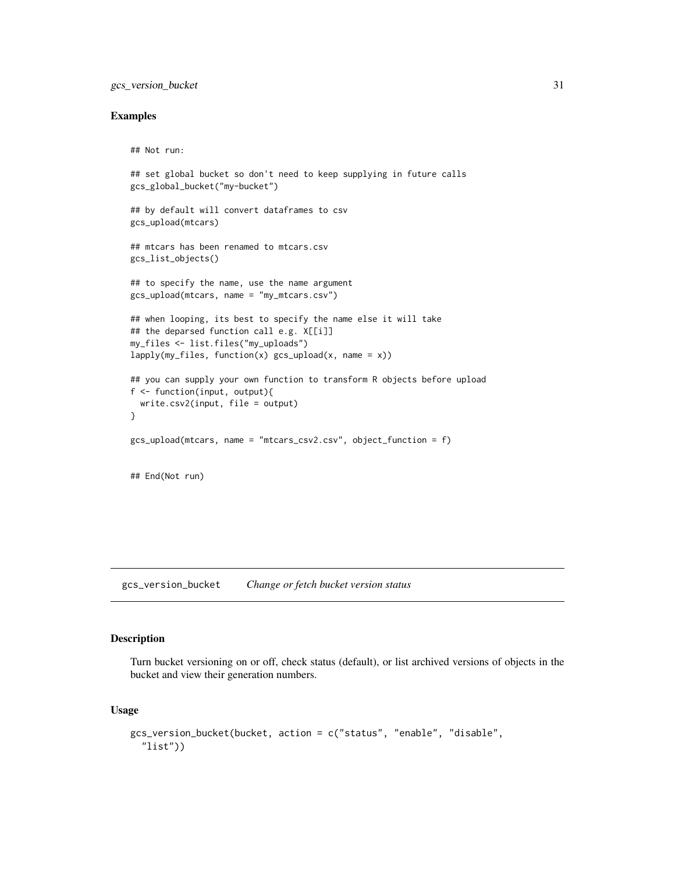# <span id="page-30-0"></span>gcs\_version\_bucket 31

#### Examples

## Not run:

```
## set global bucket so don't need to keep supplying in future calls
gcs_global_bucket("my-bucket")
## by default will convert dataframes to csv
gcs_upload(mtcars)
## mtcars has been renamed to mtcars.csv
gcs_list_objects()
## to specify the name, use the name argument
gcs_upload(mtcars, name = "my_mtcars.csv")
## when looping, its best to specify the name else it will take
## the deparsed function call e.g. X[[i]]
my_files <- list.files("my_uploads")
lapply(my_files, function(x) gcs_upload(x, name = x))## you can supply your own function to transform R objects before upload
f <- function(input, output){
 write.csv2(input, file = output)
}
gcs_upload(mtcars, name = "mtcars_csv2.csv", object_function = f)
## End(Not run)
```
gcs\_version\_bucket *Change or fetch bucket version status*

## Description

Turn bucket versioning on or off, check status (default), or list archived versions of objects in the bucket and view their generation numbers.

```
gcs_version_bucket(bucket, action = c("status", "enable", "disable",
  "list"))
```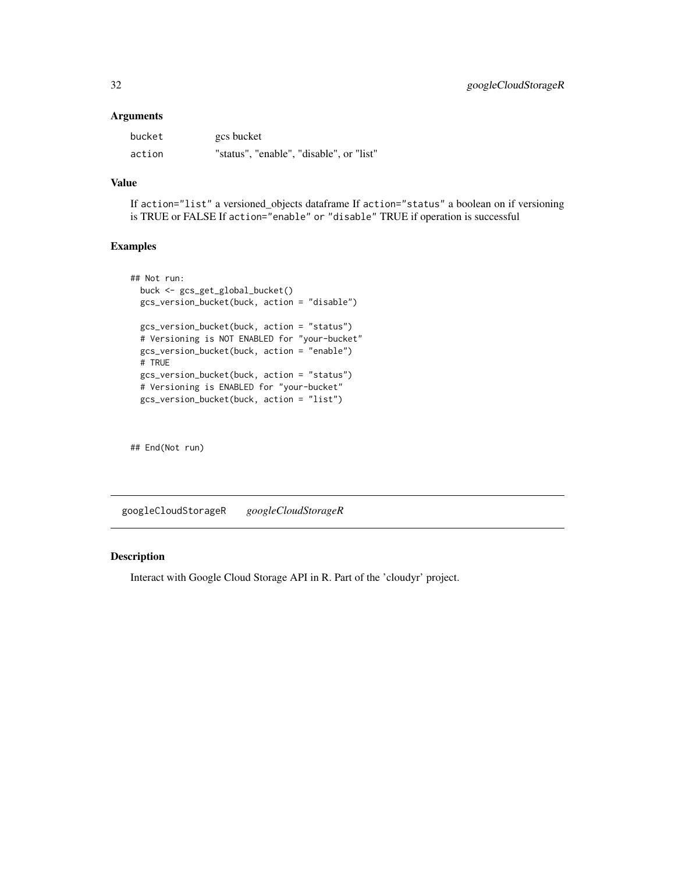<span id="page-31-0"></span>

| bucket | gcs bucket                               |
|--------|------------------------------------------|
| action | "status", "enable", "disable", or "list" |

# Value

If action="list" a versioned\_objects dataframe If action="status" a boolean on if versioning is TRUE or FALSE If action="enable" or "disable" TRUE if operation is successful

# Examples

```
## Not run:
 buck <- gcs_get_global_bucket()
 gcs_version_bucket(buck, action = "disable")
 gcs_version_bucket(buck, action = "status")
 # Versioning is NOT ENABLED for "your-bucket"
 gcs_version_bucket(buck, action = "enable")
 # TRUE
 gcs_version_bucket(buck, action = "status")
 # Versioning is ENABLED for "your-bucket"
 gcs_version_bucket(buck, action = "list")
```
## End(Not run)

googleCloudStorageR *googleCloudStorageR*

# Description

Interact with Google Cloud Storage API in R. Part of the 'cloudyr' project.